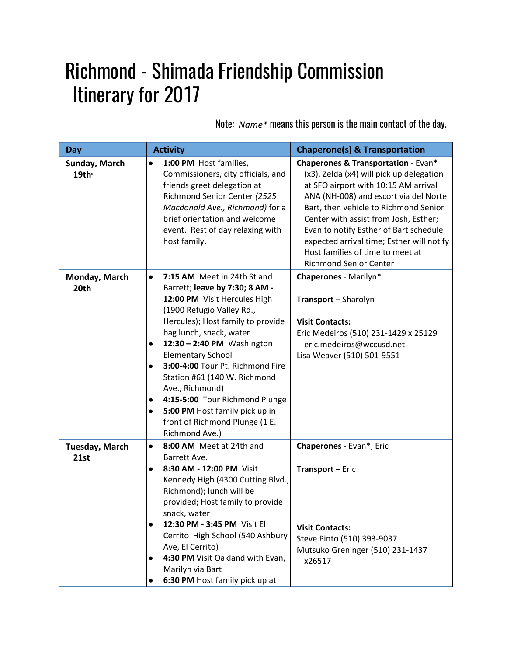## Richmond - Shimada Friendship Commission Itinerary for 2017

Note: *Name\** means this person is the main contact of the day.

| Day                                | <b>Activity</b>                                                                                                                                                                                                                                                                                                                                                                                                                                                                                                                      | <b>Chaperone(s) &amp; Transportation</b>                                                                                                                                                                                                                                                                                                                                                                                  |
|------------------------------------|--------------------------------------------------------------------------------------------------------------------------------------------------------------------------------------------------------------------------------------------------------------------------------------------------------------------------------------------------------------------------------------------------------------------------------------------------------------------------------------------------------------------------------------|---------------------------------------------------------------------------------------------------------------------------------------------------------------------------------------------------------------------------------------------------------------------------------------------------------------------------------------------------------------------------------------------------------------------------|
| Sunday, March<br>19th <sup>®</sup> | 1:00 PM Host families,<br>$\bullet$<br>Commissioners, city officials, and<br>friends greet delegation at<br>Richmond Senior Center (2525<br>Macdonald Ave., Richmond) for a<br>brief orientation and welcome<br>event. Rest of day relaxing with<br>host family.                                                                                                                                                                                                                                                                     | <b>Chaperones &amp; Transportation - Evan*</b><br>(x3), Zelda (x4) will pick up delegation<br>at SFO airport with 10:15 AM arrival<br>ANA (NH-008) and escort via del Norte<br>Bart, then vehicle to Richmond Senior<br>Center with assist from Josh, Esther;<br>Evan to notify Esther of Bart schedule<br>expected arrival time; Esther will notify<br>Host families of time to meet at<br><b>Richmond Senior Center</b> |
| Monday, March<br>20th              | 7:15 AM Meet in 24th St and<br>$\bullet$<br>Barrett; leave by 7:30; 8 AM -<br>12:00 PM Visit Hercules High<br>(1900 Refugio Valley Rd.,<br>Hercules); Host family to provide<br>bag lunch, snack, water<br>12:30 - 2:40 PM Washington<br>$\bullet$<br><b>Elementary School</b><br>3:00-4:00 Tour Pt. Richmond Fire<br>$\bullet$<br>Station #61 (140 W. Richmond<br>Ave., Richmond)<br>4:15-5:00 Tour Richmond Plunge<br>$\bullet$<br>5:00 PM Host family pick up in<br>$\bullet$<br>front of Richmond Plunge (1 E.<br>Richmond Ave.) | Chaperones - Marilyn*<br>Transport - Sharolyn<br><b>Visit Contacts:</b><br>Eric Medeiros (510) 231-1429 x 25129<br>eric.medeiros@wccusd.net<br>Lisa Weaver (510) 501-9551                                                                                                                                                                                                                                                 |
| <b>Tuesday, March</b><br>21st      | 8:00 AM Meet at 24th and<br>$\bullet$<br>Barrett Ave.<br>8:30 AM - 12:00 PM Visit<br>$\bullet$<br>Kennedy High (4300 Cutting Blvd.,<br>Richmond); lunch will be<br>provided; Host family to provide<br>snack, water<br>12:30 PM - 3:45 PM Visit El<br>$\bullet$<br>Cerrito High School (540 Ashbury<br>Ave, El Cerrito)<br>4:30 PM Visit Oakland with Evan,<br>Marilyn via Bart<br>6:30 PM Host family pick up at                                                                                                                    | Chaperones - Evan*, Eric<br>Transport - Eric<br><b>Visit Contacts:</b><br>Steve Pinto (510) 393-9037<br>Mutsuko Greninger (510) 231-1437<br>x26517                                                                                                                                                                                                                                                                        |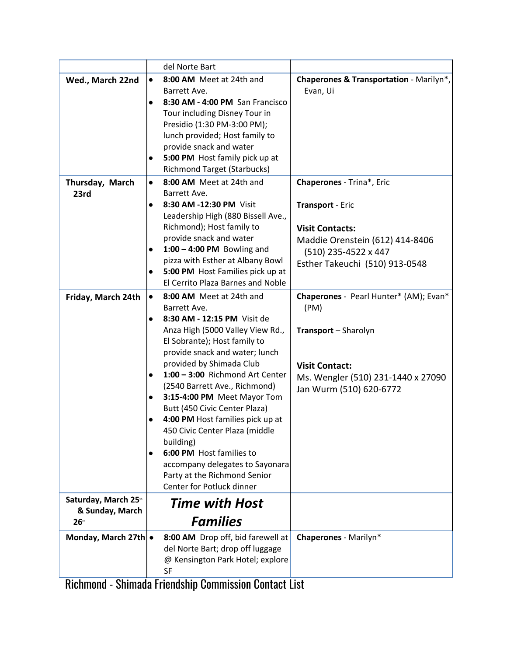|                                         | del Norte Bart                                |                                                    |
|-----------------------------------------|-----------------------------------------------|----------------------------------------------------|
| Wed., March 22nd                        | 8:00 AM Meet at 24th and<br>$\bullet$         | <b>Chaperones &amp; Transportation - Marilyn*,</b> |
|                                         | Barrett Ave.                                  | Evan, Ui                                           |
|                                         | 8:30 AM - 4:00 PM San Francisco<br>$\bullet$  |                                                    |
|                                         | Tour including Disney Tour in                 |                                                    |
|                                         | Presidio (1:30 PM-3:00 PM);                   |                                                    |
|                                         | lunch provided; Host family to                |                                                    |
|                                         | provide snack and water                       |                                                    |
|                                         | 5:00 PM Host family pick up at<br>$\bullet$   |                                                    |
|                                         | <b>Richmond Target (Starbucks)</b>            |                                                    |
| Thursday, March                         | 8:00 AM Meet at 24th and<br>$\bullet$         | Chaperones - Trina*, Eric                          |
| 23rd                                    | Barrett Ave.                                  |                                                    |
|                                         | 8:30 AM -12:30 PM Visit<br>$\bullet$          | Transport - Eric                                   |
|                                         | Leadership High (880 Bissell Ave.,            |                                                    |
|                                         | Richmond); Host family to                     | <b>Visit Contacts:</b>                             |
|                                         | provide snack and water                       |                                                    |
|                                         | $1:00 - 4:00$ PM Bowling and<br>$\bullet$     | Maddie Orenstein (612) 414-8406                    |
|                                         | pizza with Esther at Albany Bowl              | (510) 235-4522 x 447                               |
|                                         | 5:00 PM Host Families pick up at<br>$\bullet$ | Esther Takeuchi (510) 913-0548                     |
|                                         | El Cerrito Plaza Barnes and Noble             |                                                    |
|                                         |                                               |                                                    |
| Friday, March 24th                      | 8:00 AM Meet at 24th and<br>$\bullet$         | Chaperones - Pearl Hunter* (AM); Evan*             |
|                                         | Barrett Ave.                                  | (PM)                                               |
|                                         | 8:30 AM - 12:15 PM Visit de<br>$\bullet$      |                                                    |
|                                         | Anza High (5000 Valley View Rd.,              | Transport - Sharolyn                               |
|                                         | El Sobrante); Host family to                  |                                                    |
|                                         | provide snack and water; lunch                |                                                    |
|                                         | provided by Shimada Club                      | <b>Visit Contact:</b>                              |
|                                         | 1:00 - 3:00 Richmond Art Center               | Ms. Wengler (510) 231-1440 x 27090                 |
|                                         | (2540 Barrett Ave., Richmond)                 | Jan Wurm (510) 620-6772                            |
|                                         | 3:15-4:00 PM Meet Mayor Tom                   |                                                    |
|                                         | Butt (450 Civic Center Plaza)                 |                                                    |
|                                         | 4:00 PM Host families pick up at              |                                                    |
|                                         | 450 Civic Center Plaza (middle                |                                                    |
|                                         | building)                                     |                                                    |
|                                         | 6:00 PM Host families to<br>0                 |                                                    |
|                                         | accompany delegates to Sayonara               |                                                    |
|                                         | Party at the Richmond Senior                  |                                                    |
|                                         | Center for Potluck dinner                     |                                                    |
| Saturday, March 25th<br>& Sunday, March | <b>Time with Host</b>                         |                                                    |
| 26 <sup>th</sup>                        | <b>Families</b>                               |                                                    |
| Monday, March 27th .                    | 8:00 AM Drop off, bid farewell at             | Chaperones - Marilyn*                              |
|                                         | del Norte Bart; drop off luggage              |                                                    |
|                                         | @ Kensington Park Hotel; explore              |                                                    |
|                                         | SF                                            |                                                    |

Richmond - Shimada Friendship Commission Contact List